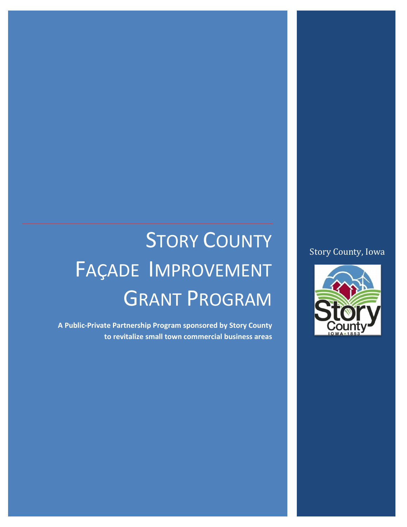#### Story County, Iowa



# STORY COUNTY FAÇADE IMPROVEMENT GRANT PROGRAM

**A Public-Private Partnership Program sponsored by Story County to revitalize small town commercial business areas**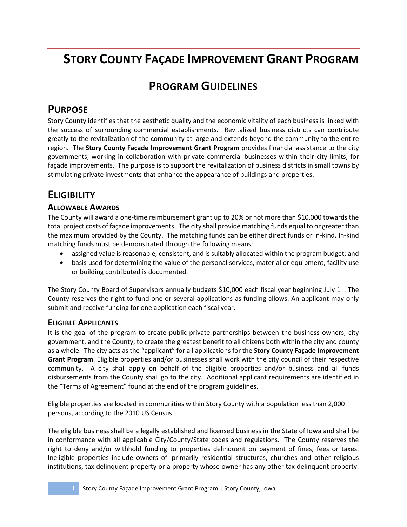# **STORY COUNTY FAÇADE IMPROVEMENT GRANT PROGRAM**

# **PROGRAM GUIDELINES**

## **PURPOSE**

Story County identifies that the aesthetic quality and the economic vitality of each business is linked with the success of surrounding commercial establishments. Revitalized business districts can contribute greatly to the revitalization of the community at large and extends beyond the community to the entire region. The **Story County Façade Improvement Grant Program** provides financial assistance to the city governments, working in collaboration with private commercial businesses within their city limits, for façade improvements. The purpose is to support the revitalization of business districts in small towns by stimulating private investments that enhance the appearance of buildings and properties.

## **ELIGIBILITY**

#### **ALLOWABLE AWARDS**

The County will award a one-time reimbursement grant up to 20% or not more than \$10,000 towards the total project costs of façade improvements. The city shall provide matching funds equal to or greater than the maximum provided by the County. The matching funds can be either direct funds or in-kind. In-kind matching funds must be demonstrated through the following means:

- assigned value is reasonable, consistent, and is suitably allocated within the program budget; and
- basis used for determining the value of the personal services, material or equipment, facility use or building contributed is documented.

The Story County Board of Supervisors annually budgets \$10,000 each fiscal year beginning July  $1<sup>st</sup>$ . The County reserves the right to fund one or several applications as funding allows. An applicant may only submit and receive funding for one application each fiscal year.

#### **ELIGIBLE APPLICANTS**

It is the goal of the program to create public-private partnerships between the business owners, city government, and the County, to create the greatest benefit to all citizens both within the city and county as a whole. The city acts as the "applicant" for all applications for the **Story County Façade Improvement Grant Program**. Eligible properties and/or businesses shall work with the city council of their respective community. A city shall apply on behalf of the eligible properties and/or business and all funds disbursements from the County shall go to the city. Additional applicant requirements are identified in the "Terms of Agreement" found at the end of the program guidelines.

Eligible properties are located in communities within Story County with a population less than 2,000 persons, according to the 2010 US Census.

The eligible business shall be a legally established and licensed business in the State of Iowa and shall be in conformance with all applicable City/County/State codes and regulations. The County reserves the right to deny and/or withhold funding to properties delinquent on payment of fines, fees or taxes. Ineligible properties include owners of--primarily residential structures, churches and other religious institutions, tax delinquent property or a property whose owner has any other tax delinquent property.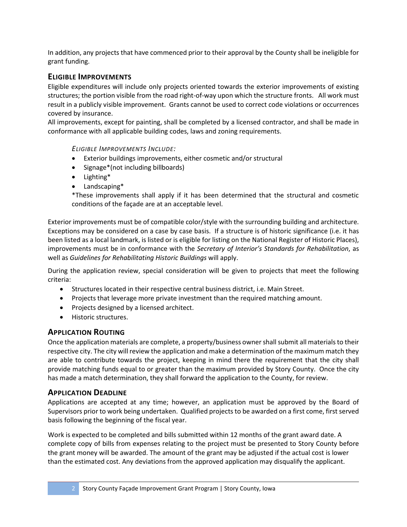In addition, any projects that have commenced prior to their approval by the County shall be ineligible for grant funding.

#### **ELIGIBLE IMPROVEMENTS**

Eligible expenditures will include only projects oriented towards the exterior improvements of existing structures; the portion visible from the road right-of-way upon which the structure fronts. All work must result in a publicly visible improvement. Grants cannot be used to correct code violations or occurrences covered by insurance.

All improvements, except for painting, shall be completed by a licensed contractor, and shall be made in conformance with all applicable building codes, laws and zoning requirements.

*ELIGIBLE IMPROVEMENTS INCLUDE:*

- Exterior buildings improvements, either cosmetic and/or structural
- Signage\*(not including billboards)
- Lighting\*
- Landscaping\*

\*These improvements shall apply if it has been determined that the structural and cosmetic conditions of the façade are at an acceptable level.

Exterior improvements must be of compatible color/style with the surrounding building and architecture. Exceptions may be considered on a case by case basis. If a structure is of historic significance (i.e. it has been listed as a local landmark, is listed or is eligible for listing on the National Register of Historic Places), improvements must be in conformance with the *Secretary of Interior's Standards for Rehabilitation*, as well as *Guidelines for Rehabilitating Historic Buildings* will apply.

During the application review, special consideration will be given to projects that meet the following criteria:

- Structures located in their respective central business district, i.e. Main Street.
- Projects that leverage more private investment than the required matching amount.
- Projects designed by a licensed architect.
- Historic structures.

#### **APPLICATION ROUTING**

Once the application materials are complete, a property/business owner shall submit all materials to their respective city. The city will review the application and make a determination of the maximum match they are able to contribute towards the project, keeping in mind there the requirement that the city shall provide matching funds equal to or greater than the maximum provided by Story County. Once the city has made a match determination, they shall forward the application to the County, for review.

#### **APPLICATION DEADLINE**

Applications are accepted at any time; however, an application must be approved by the Board of Supervisors prior to work being undertaken. Qualified projects to be awarded on a first come, first served basis following the beginning of the fiscal year.

Work is expected to be completed and bills submitted within 12 months of the grant award date. A complete copy of bills from expenses relating to the project must be presented to Story County before the grant money will be awarded. The amount of the grant may be adjusted if the actual cost is lower than the estimated cost. Any deviations from the approved application may disqualify the applicant.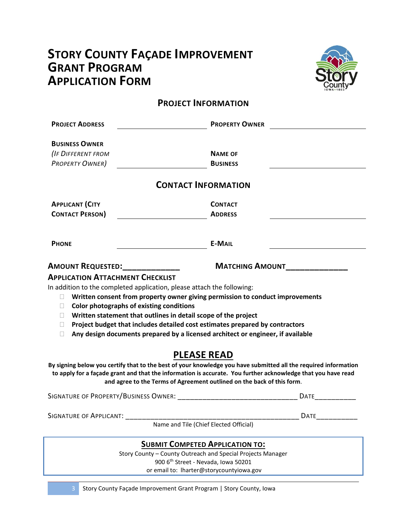# **STORY COUNTY FAÇADE IMPROVEMENT GRANT PROGRAM APPLICATION FORM**



### **PROJECT INFORMATION**

| <b>PROJECT ADDRESS</b>                                                                                                                  | <b>PROPERTY OWNER</b>                                                                                                                                                                                                                                                                                              |
|-----------------------------------------------------------------------------------------------------------------------------------------|--------------------------------------------------------------------------------------------------------------------------------------------------------------------------------------------------------------------------------------------------------------------------------------------------------------------|
| <b>BUSINESS OWNER</b><br><b>(IF DIFFERENT FROM</b><br><b>PROPERTY OWNER)</b>                                                            | <b>NAME OF</b><br><b>BUSINESS</b><br><b>CONTACT INFORMATION</b>                                                                                                                                                                                                                                                    |
|                                                                                                                                         |                                                                                                                                                                                                                                                                                                                    |
| <b>APPLICANT (CITY</b><br><b>CONTACT PERSON)</b>                                                                                        | <b>CONTACT</b><br><b>ADDRESS</b>                                                                                                                                                                                                                                                                                   |
| <b>PHONE</b>                                                                                                                            | <b>E-MAIL</b>                                                                                                                                                                                                                                                                                                      |
| AMOUNT REQUESTED:____________                                                                                                           | <b>MATCHING AMOUNT</b>                                                                                                                                                                                                                                                                                             |
| In addition to the completed application, please attach the following:<br>Color photographs of existing conditions<br>П<br>П.<br>u<br>П | Written consent from property owner giving permission to conduct improvements<br>Written statement that outlines in detail scope of the project<br>Project budget that includes detailed cost estimates prepared by contractors<br>Any design documents prepared by a licensed architect or engineer, if available |
|                                                                                                                                         | <b>PLEASE READ</b>                                                                                                                                                                                                                                                                                                 |
|                                                                                                                                         | By signing below you certify that to the best of your knowledge you have submitted all the required information<br>to apply for a façade grant and that the information is accurate. You further acknowledge that you have read<br>and agree to the Terms of Agreement outlined on the back of this form.          |
|                                                                                                                                         | <b>DATE</b>                                                                                                                                                                                                                                                                                                        |
| SIGNATURE OF APPLICANT:                                                                                                                 | <b>DATE</b><br>Name and Tile (Chief Elected Official)                                                                                                                                                                                                                                                              |
|                                                                                                                                         | <b>SUBMIT COMPETED APPLICATION TO:</b>                                                                                                                                                                                                                                                                             |
|                                                                                                                                         | Story County - County Outreach and Special Projects Manager<br>900 6th Street - Nevada, Iowa 50201                                                                                                                                                                                                                 |

or email to: lharter@storycountyiowa.gov